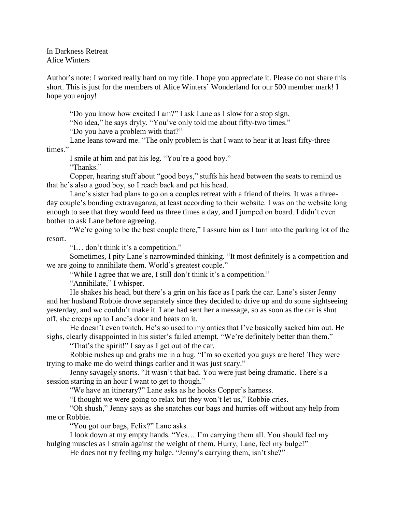In Darkness Retreat Alice Winters

Author's note: I worked really hard on my title. I hope you appreciate it. Please do not share this short. This is just for the members of Alice Winters' Wonderland for our 500 member mark! I hope you enjoy!

"Do you know how excited I am?" I ask Lane as I slow for a stop sign.

"No idea," he says dryly. "You've only told me about fifty-two times."

"Do you have a problem with that?"

Lane leans toward me. "The only problem is that I want to hear it at least fifty-three times."

I smile at him and pat his leg. "You're a good boy."

"Thanks."

Copper, hearing stuff about "good boys," stuffs his head between the seats to remind us that he's also a good boy, so I reach back and pet his head.

Lane's sister had plans to go on a couples retreat with a friend of theirs. It was a threeday couple's bonding extravaganza, at least according to their website. I was on the website long enough to see that they would feed us three times a day, and I jumped on board. I didn't even bother to ask Lane before agreeing.

"We're going to be the best couple there," I assure him as I turn into the parking lot of the resort.

"I… don't think it's a competition."

Sometimes, I pity Lane's narrowminded thinking. "It most definitely is a competition and we are going to annihilate them. World's greatest couple."

"While I agree that we are, I still don't think it's a competition."

"Annihilate," I whisper.

He shakes his head, but there's a grin on his face as I park the car. Lane's sister Jenny and her husband Robbie drove separately since they decided to drive up and do some sightseeing yesterday, and we couldn't make it. Lane had sent her a message, so as soon as the car is shut off, she creeps up to Lane's door and beats on it.

He doesn't even twitch. He's so used to my antics that I've basically sacked him out. He sighs, clearly disappointed in his sister's failed attempt. "We're definitely better than them."

"That's the spirit!" I say as I get out of the car.

Robbie rushes up and grabs me in a hug. "I'm so excited you guys are here! They were trying to make me do weird things earlier and it was just scary."

Jenny savagely snorts. "It wasn't that bad. You were just being dramatic. There's a session starting in an hour I want to get to though."

"We have an itinerary?" Lane asks as he hooks Copper's harness.

"I thought we were going to relax but they won't let us," Robbie cries.

"Oh shush," Jenny says as she snatches our bags and hurries off without any help from me or Robbie.

"You got our bags, Felix?" Lane asks.

I look down at my empty hands. "Yes… I'm carrying them all. You should feel my bulging muscles as I strain against the weight of them. Hurry, Lane, feel my bulge!"

He does not try feeling my bulge. "Jenny's carrying them, isn't she?"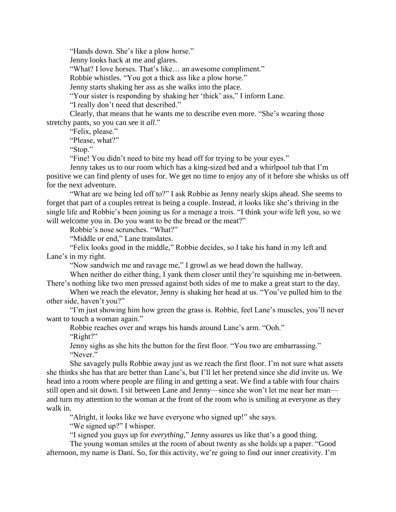"Hands down. She's like a plow horse."

Jenny looks back at me and glares.

"What? I love horses. That's like… an awesome compliment."

Robbie whistles. "You got a thick ass like a plow horse."

Jenny starts shaking her ass as she walks into the place.

"Your sister is responding by shaking her 'thick' ass," I inform Lane.

"I really don't need that described."

Clearly, that means that he wants me to describe even more. "She's wearing those stretchy pants, so you can see it *all*."

"Felix, please."

"Please, what?"

"Stop."

"Fine! You didn't need to bite my head off for trying to be your eyes."

Jenny takes us to our room which has a king-sized bed and a whirlpool tub that I'm positive we can find plenty of uses for. We get no time to enjoy any of it before she whisks us off for the next adventure.

"What are we being led off to?" I ask Robbie as Jenny nearly skips ahead. She seems to forget that part of a couples retreat is being a couple. Instead, it looks like she's thriving in the single life and Robbie's been joining us for a menage a trois. "I think your wife left you, so we will welcome you in. Do you want to be the bread or the meat?"

Robbie's nose scrunches. "What?"

"Middle or end," Lane translates.

"Felix looks good in the middle," Robbie decides, so I take his hand in my left and Lane's in my right.

"Now sandwich me and ravage me," I growl as we head down the hallway.

When neither do either thing, I yank them closer until they're squishing me in-between. There's nothing like two men pressed against both sides of me to make a great start to the day.

When we reach the elevator, Jenny is shaking her head at us. "You've pulled him to the other side, haven't you?"

"I'm just showing him how green the grass is. Robbie, feel Lane's muscles, you'll never want to touch a woman again."

Robbie reaches over and wraps his hands around Lane's arm. "Ooh."

"Right?"

Jenny sighs as she hits the button for the first floor. "You two are embarrassing." "Never."

She savagely pulls Robbie away just as we reach the first floor. I'm not sure what assets she thinks she has that are better than Lane's, but I'll let her pretend since she *did* invite us. We head into a room where people are filing in and getting a seat. We find a table with four chairs still open and sit down. I sit between Lane and Jenny—since she won't let me near her man and turn my attention to the woman at the front of the room who is smiling at everyone as they walk in.

"Alright, it looks like we have everyone who signed up!" she says.

"We signed up?" I whisper.

"I signed you guys up for *everything*," Jenny assures us like that's a good thing.

The young woman smiles at the room of about twenty as she holds up a paper. "Good afternoon, my name is Dani. So, for this activity, we're going to find our inner creativity. I'm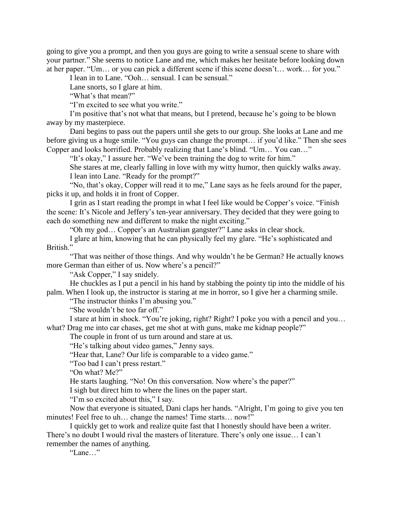going to give you a prompt, and then you guys are going to write a sensual scene to share with your partner." She seems to notice Lane and me, which makes her hesitate before looking down at her paper. "Um… or you can pick a different scene if this scene doesn't… work… for you."

I lean in to Lane. "Ooh… sensual. I can be sensual."

Lane snorts, so I glare at him.

"What's that mean?"

"I'm excited to see what you write."

I'm positive that's not what that means, but I pretend, because he's going to be blown away by my masterpiece.

Dani begins to pass out the papers until she gets to our group. She looks at Lane and me before giving us a huge smile. "You guys can change the prompt… if you'd like." Then she sees Copper and looks horrified. Probably realizing that Lane's blind. "Um… You can…"

"It's okay," I assure her. "We've been training the dog to write for him."

She stares at me, clearly falling in love with my witty humor, then quickly walks away. I lean into Lane. "Ready for the prompt?"

"No, that's okay, Copper will read it to me," Lane says as he feels around for the paper, picks it up, and holds it in front of Copper.

I grin as I start reading the prompt in what I feel like would be Copper's voice. "Finish the scene: It's Nicole and Jeffery's ten-year anniversary. They decided that they were going to each do something new and different to make the night exciting."

"Oh my god… Copper's an Australian gangster?" Lane asks in clear shock.

I glare at him, knowing that he can physically feel my glare. "He's sophisticated and British."

"That was neither of those things. And why wouldn't he be German? He actually knows more German than either of us. Now where's a pencil?"

"Ask Copper," I say snidely.

He chuckles as I put a pencil in his hand by stabbing the pointy tip into the middle of his palm. When I look up, the instructor is staring at me in horror, so I give her a charming smile.

"The instructor thinks I'm abusing you."

"She wouldn't be too far off."

I stare at him in shock. "You're joking, right? Right? I poke you with a pencil and you… what? Drag me into car chases, get me shot at with guns, make me kidnap people?"

The couple in front of us turn around and stare at us.

"He's talking about video games," Jenny says.

"Hear that, Lane? Our life is comparable to a video game."

"Too bad I can't press restart."

"On what? Me?"

He starts laughing. "No! On this conversation. Now where's the paper?"

I sigh but direct him to where the lines on the paper start.

"I'm so excited about this," I say.

Now that everyone is situated, Dani claps her hands. "Alright, I'm going to give you ten minutes! Feel free to uh… change the names! Time starts… now!"

I quickly get to work and realize quite fast that I honestly should have been a writer. There's no doubt I would rival the masters of literature. There's only one issue… I can't remember the names of anything.

"Lane…"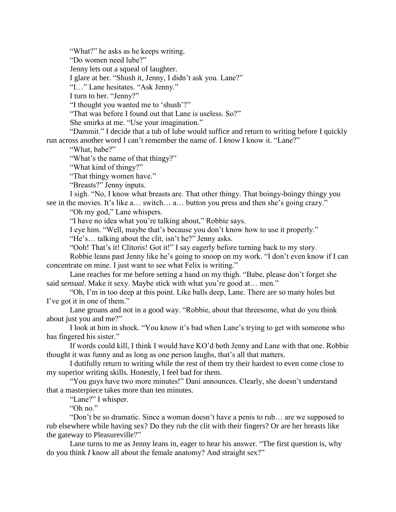"What?" he asks as he keeps writing.

"Do women need lube?"

Jenny lets out a squeal of laughter.

I glare at her. "Shush it, Jenny, I didn't ask you. Lane?"

"I…" Lane hesitates. "Ask Jenny."

I turn to her. "Jenny?"

"I thought you wanted me to 'shush'?"

"That was before I found out that Lane is useless. So?"

She smirks at me. "Use your imagination."

"Dammit." I decide that a tub of lube would suffice and return to writing before I quickly run across another word I can't remember the name of. I *know* I know it. "Lane?"

"What, babe?"

"What's the name of that thingy?"

"What kind of thingy?"

"That thingy women have."

"Breasts?" Jenny inputs.

I sigh. "No, I know what breasts are. That other thingy. That boingy-boingy thingy you see in the movies. It's like a… switch… a… button you press and then she's going crazy."

"Oh my god," Lane whispers.

"I have no idea what you're talking about," Robbie says.

I eye him. "Well, maybe that's because you don't know how to use it properly."

"He's… talking about the clit, isn't he?" Jenny asks.

"Ooh! That's it! Clitoris! Got it!" I say eagerly before turning back to my story.

Robbie leans past Jenny like he's going to snoop on my work. "I don't even know if I can concentrate on mine. I just want to see what Felix is writing."

Lane reaches for me before setting a hand on my thigh. "Babe, please don't forget she said *sensual*. Make it sexy. Maybe stick with what you're good at… men."

"Oh, I'm in too deep at this point. Like balls deep, Lane. There are so many holes but I've got it in one of them."

Lane groans and not in a good way. "Robbie, about that threesome, what do you think about just you and me?"

I look at him in shock. "You know it's bad when Lane's trying to get with someone who has fingered his sister."

If words could kill, I think I would have KO'd both Jenny and Lane with that one. Robbie thought it was funny and as long as one person laughs, that's all that matters.

I dutifully return to writing while the rest of them try their hardest to even come close to my superior writing skills. Honestly, I feel bad for them.

"You guys have two more minutes!" Dani announces. Clearly, she doesn't understand that a masterpiece takes more than ten minutes.

"Lane?" I whisper.

"Oh no."

"Don't be so dramatic. Since a woman doesn't have a penis to rub… are we supposed to rub elsewhere while having sex? Do they rub the clit with their fingers? Or are her breasts like the gateway to Pleasureville?"

Lane turns to me as Jenny leans in, eager to hear his answer. "The first question is, why do you think *I* know all about the female anatomy? And straight sex?"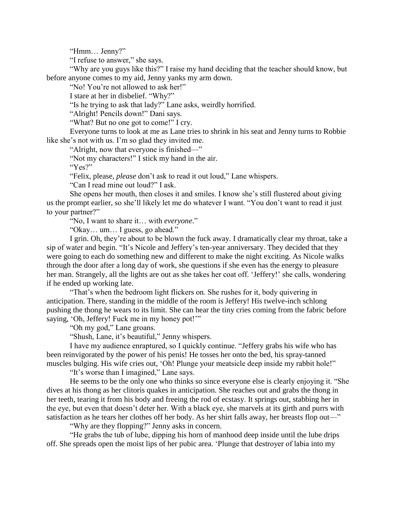"Hmm… Jenny?"

"I refuse to answer," she says.

"Why are you guys like this?" I raise my hand deciding that the teacher should know, but before anyone comes to my aid, Jenny yanks my arm down.

"No! You're not allowed to ask her!"

I stare at her in disbelief. "Why?"

"Is he trying to ask that lady?" Lane asks, weirdly horrified.

"Alright! Pencils down!" Dani says.

"What? But no one got to come!" I cry.

Everyone turns to look at me as Lane tries to shrink in his seat and Jenny turns to Robbie like she's not with us. I'm so glad they invited me.

"Alright, now that everyone is finished—"

"Not my characters!" I stick my hand in the air.

"Yes?"

"Felix, please, *please* don't ask to read it out loud," Lane whispers.

"Can I read mine out loud?" I ask.

She opens her mouth, then closes it and smiles. I know she's still flustered about giving us the prompt earlier, so she'll likely let me do whatever I want. "You don't want to read it just to your partner?"

"No, I want to share it… with *everyone*."

"Okay… um… I guess, go ahead."

I grin. Oh, they're about to be blown the fuck away. I dramatically clear my throat, take a sip of water and begin. "It's Nicole and Jeffery's ten-year anniversary. They decided that they were going to each do something new and different to make the night exciting. As Nicole walks through the door after a long day of work, she questions if she even has the energy to pleasure her man. Strangely, all the lights are out as she takes her coat off. 'Jeffery!' she calls, wondering if he ended up working late.

"That's when the bedroom light flickers on. She rushes for it, body quivering in anticipation. There, standing in the middle of the room is Jeffery! His twelve-inch schlong pushing the thong he wears to its limit. She can hear the tiny cries coming from the fabric before saying, 'Oh, Jeffery! Fuck me in my honey pot!'"

"Oh my god," Lane groans.

"Shush, Lane, it's beautiful," Jenny whispers.

I have my audience enraptured, so I quickly continue. "Jeffery grabs his wife who has been reinvigorated by the power of his penis! He tosses her onto the bed, his spray-tanned muscles bulging. His wife cries out, 'Oh! Plunge your meatsicle deep inside my rabbit hole!"

"It's worse than I imagined," Lane says.

He seems to be the only one who thinks so since everyone else is clearly enjoying it. "She dives at his thong as her clitoris quakes in anticipation. She reaches out and grabs the thong in her teeth, tearing it from his body and freeing the rod of ecstasy. It springs out, stabbing her in the eye, but even that doesn't deter her. With a black eye, she marvels at its girth and purrs with satisfaction as he tears her clothes off her body. As her shirt falls away, her breasts flop out—"

"Why are they flopping?" Jenny asks in concern.

"He grabs the tub of lube, dipping his horn of manhood deep inside until the lube drips off. She spreads open the moist lips of her pubic area. 'Plunge that destroyer of labia into my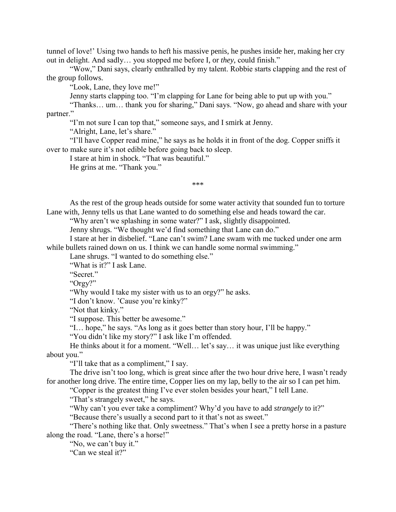tunnel of love!' Using two hands to heft his massive penis, he pushes inside her, making her cry out in delight. And sadly… you stopped me before I, or *they*, could finish."

"Wow," Dani says, clearly enthralled by my talent. Robbie starts clapping and the rest of the group follows.

"Look, Lane, they love me!"

Jenny starts clapping too. "I'm clapping for Lane for being able to put up with you."

"Thanks… um… thank you for sharing," Dani says. "Now, go ahead and share with your partner."

"I'm not sure I can top that," someone says, and I smirk at Jenny.

"Alright, Lane, let's share."

"I'll have Copper read mine," he says as he holds it in front of the dog. Copper sniffs it over to make sure it's not edible before going back to sleep.

I stare at him in shock. "That was beautiful."

He grins at me. "Thank you."

\*\*\*

As the rest of the group heads outside for some water activity that sounded fun to torture Lane with, Jenny tells us that Lane wanted to do something else and heads toward the car.

"Why aren't we splashing in some water?" I ask, slightly disappointed.

Jenny shrugs. "We thought we'd find something that Lane can do."

I stare at her in disbelief. "Lane can't swim? Lane swam with me tucked under one arm while bullets rained down on us. I think we can handle some normal swimming."

Lane shrugs. "I wanted to do something else."

"What is it?" I ask Lane.

"Secret."

"Orgy?"

"Why would I take my sister with us to an orgy?" he asks.

"I don't know. 'Cause you're kinky?"

"Not that kinky."

"I suppose. This better be awesome."

"I… hope," he says. "As long as it goes better than story hour, I'll be happy."

"You didn't like my story?" I ask like I'm offended.

He thinks about it for a moment. "Well… let's say… it was unique just like everything about you."

"I'll take that as a compliment," I say.

The drive isn't too long, which is great since after the two hour drive here, I wasn't ready for another long drive. The entire time, Copper lies on my lap, belly to the air so I can pet him.

"Copper is the greatest thing I've ever stolen besides your heart," I tell Lane.

"That's strangely sweet," he says.

"Why can't you ever take a compliment? Why'd you have to add *strangely* to it?"

"Because there's usually a second part to it that's not as sweet."

"There's nothing like that. Only sweetness." That's when I see a pretty horse in a pasture along the road. "Lane, there's a horse!"

"No, we can't buy it."

"Can we steal it?"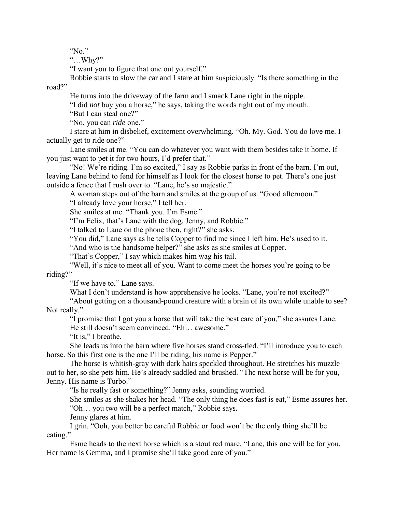"No."

"…Why?"

"I want you to figure that one out yourself."

Robbie starts to slow the car and I stare at him suspiciously. "Is there something in the road?"

He turns into the driveway of the farm and I smack Lane right in the nipple.

"I did *not* buy you a horse," he says, taking the words right out of my mouth.

"But I can steal one?"

"No, you can *ride* one."

I stare at him in disbelief, excitement overwhelming. "Oh. My. God. You do love me. I actually get to ride one?"

Lane smiles at me. "You can do whatever you want with them besides take it home. If you just want to pet it for two hours, I'd prefer that."

"No! We're riding. I'm so excited," I say as Robbie parks in front of the barn. I'm out, leaving Lane behind to fend for himself as I look for the closest horse to pet. There's one just outside a fence that I rush over to. "Lane, he's so majestic."

A woman steps out of the barn and smiles at the group of us. "Good afternoon."

"I already love your horse," I tell her.

She smiles at me. "Thank you. I'm Esme."

"I'm Felix, that's Lane with the dog, Jenny, and Robbie."

"I talked to Lane on the phone then, right?" she asks.

"You did," Lane says as he tells Copper to find me since I left him. He's used to it.

"And who is the handsome helper?" she asks as she smiles at Copper.

"That's Copper," I say which makes him wag his tail.

"Well, it's nice to meet all of you. Want to come meet the horses you're going to be riding?"

"If we have to," Lane says.

What I don't understand is how apprehensive he looks. "Lane, you're not excited?"

"About getting on a thousand-pound creature with a brain of its own while unable to see? Not really."

"I promise that I got you a horse that will take the best care of you," she assures Lane. He still doesn't seem convinced. "Eh… awesome."

"It is," I breathe.

She leads us into the barn where five horses stand cross-tied. "I'll introduce you to each horse. So this first one is the one I'll be riding, his name is Pepper."

The horse is whitish-gray with dark hairs speckled throughout. He stretches his muzzle out to her, so she pets him. He's already saddled and brushed. "The next horse will be for you, Jenny. His name is Turbo."

"Is he really fast or something?" Jenny asks, sounding worried.

She smiles as she shakes her head. "The only thing he does fast is eat," Esme assures her. "Oh… you two will be a perfect match," Robbie says.

Jenny glares at him.

I grin. "Ooh, you better be careful Robbie or food won't be the only thing she'll be eating."

Esme heads to the next horse which is a stout red mare. "Lane, this one will be for you. Her name is Gemma, and I promise she'll take good care of you."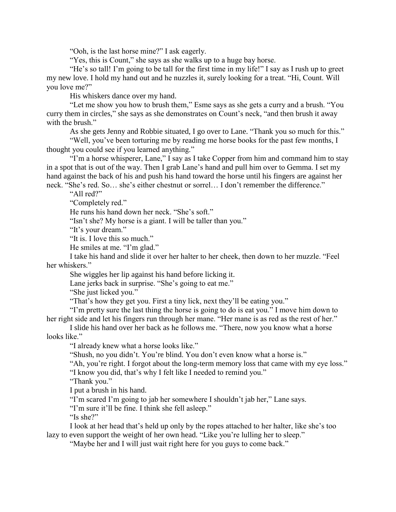"Ooh, is the last horse mine?" I ask eagerly.

"Yes, this is Count," she says as she walks up to a huge bay horse.

"He's so tall! I'm going to be tall for the first time in my life!" I say as I rush up to greet my new love. I hold my hand out and he nuzzles it, surely looking for a treat. "Hi, Count. Will you love me?"

His whiskers dance over my hand.

"Let me show you how to brush them," Esme says as she gets a curry and a brush. "You curry them in circles," she says as she demonstrates on Count's neck, "and then brush it away with the brush."

As she gets Jenny and Robbie situated, I go over to Lane. "Thank you so much for this."

"Well, you've been torturing me by reading me horse books for the past few months, I thought you could see if you learned anything."

"I'm a horse whisperer, Lane," I say as I take Copper from him and command him to stay in a spot that is out of the way. Then I grab Lane's hand and pull him over to Gemma. I set my hand against the back of his and push his hand toward the horse until his fingers are against her neck. "She's red. So… she's either chestnut or sorrel… I don't remember the difference."

"All red?"

"Completely red."

He runs his hand down her neck. "She's soft."

"Isn't she? My horse is a giant. I will be taller than you."

"It's your dream."

"It is. I love this so much."

He smiles at me. "I'm glad."

I take his hand and slide it over her halter to her cheek, then down to her muzzle. "Feel her whiskers."

She wiggles her lip against his hand before licking it.

Lane jerks back in surprise. "She's going to eat me."

"She just licked you."

"That's how they get you. First a tiny lick, next they'll be eating you."

"I'm pretty sure the last thing the horse is going to do is eat you." I move him down to her right side and let his fingers run through her mane. "Her mane is as red as the rest of her."

I slide his hand over her back as he follows me. "There, now you know what a horse looks like."

"I already knew what a horse looks like."

"Shush, no you didn't. You're blind. You don't even know what a horse is."

"Ah, you're right. I forgot about the long-term memory loss that came with my eye loss." "I know you did, that's why I felt like I needed to remind you."

"Thank you."

I put a brush in his hand.

"I'm scared I'm going to jab her somewhere I shouldn't jab her," Lane says.

"I'm sure it'll be fine. I think she fell asleep."

"Is she?"

I look at her head that's held up only by the ropes attached to her halter, like she's too lazy to even support the weight of her own head. "Like you're lulling her to sleep."

"Maybe her and I will just wait right here for you guys to come back."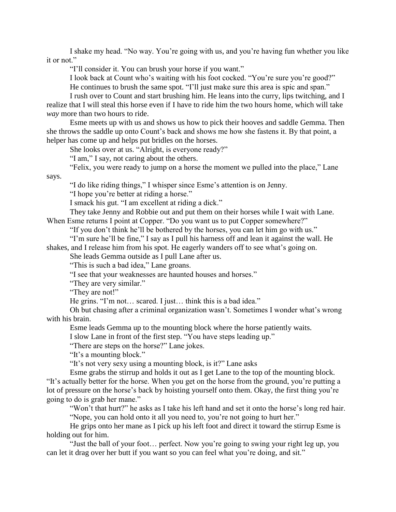I shake my head. "No way. You're going with us, and you're having fun whether you like it or not."

"I'll consider it. You can brush your horse if you want."

I look back at Count who's waiting with his foot cocked. "You're sure you're good?"

He continues to brush the same spot. "I'll just make sure this area is spic and span."

I rush over to Count and start brushing him. He leans into the curry, lips twitching, and I realize that I will steal this horse even if I have to ride him the two hours home, which will take *way* more than two hours to ride.

Esme meets up with us and shows us how to pick their hooves and saddle Gemma. Then she throws the saddle up onto Count's back and shows me how she fastens it. By that point, a helper has come up and helps put bridles on the horses.

She looks over at us. "Alright, is everyone ready?"

"I am," I say, not caring about the others.

"Felix, you were ready to jump on a horse the moment we pulled into the place," Lane says.

"I do like riding things," I whisper since Esme's attention is on Jenny.

"I hope you're better at riding a horse."

I smack his gut. "I am excellent at riding a dick."

They take Jenny and Robbie out and put them on their horses while I wait with Lane. When Esme returns I point at Copper. "Do you want us to put Copper somewhere?"

"If you don't think he'll be bothered by the horses, you can let him go with us."

"I'm sure he'll be fine," I say as I pull his harness off and lean it against the wall. He

shakes, and I release him from his spot. He eagerly wanders off to see what's going on.

She leads Gemma outside as I pull Lane after us.

"This is such a bad idea," Lane groans.

"I see that your weaknesses are haunted houses and horses."

"They are very similar."

"They are not!"

He grins. "I'm not… scared. I just… think this is a bad idea."

Oh but chasing after a criminal organization wasn't. Sometimes I wonder what's wrong with his brain.

Esme leads Gemma up to the mounting block where the horse patiently waits.

I slow Lane in front of the first step. "You have steps leading up."

"There are steps on the horse?" Lane jokes.

"It's a mounting block."

"It's not very sexy using a mounting block, is it?" Lane asks

Esme grabs the stirrup and holds it out as I get Lane to the top of the mounting block. "It's actually better for the horse. When you get on the horse from the ground, you're putting a lot of pressure on the horse's back by hoisting yourself onto them. Okay, the first thing you're going to do is grab her mane."

"Won't that hurt?" he asks as I take his left hand and set it onto the horse's long red hair. "Nope, you can hold onto it all you need to, you're not going to hurt her."

He grips onto her mane as I pick up his left foot and direct it toward the stirrup Esme is holding out for him.

"Just the ball of your foot… perfect. Now you're going to swing your right leg up, you can let it drag over her butt if you want so you can feel what you're doing, and sit."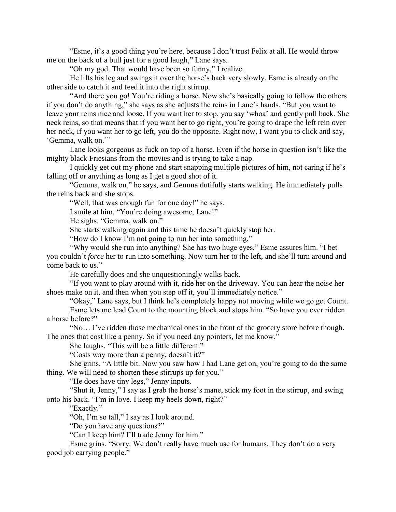"Esme, it's a good thing you're here, because I don't trust Felix at all. He would throw me on the back of a bull just for a good laugh," Lane says.

"Oh my god. That would have been so funny," I realize.

He lifts his leg and swings it over the horse's back very slowly. Esme is already on the other side to catch it and feed it into the right stirrup.

"And there you go! You're riding a horse. Now she's basically going to follow the others if you don't do anything," she says as she adjusts the reins in Lane's hands. "But you want to leave your reins nice and loose. If you want her to stop, you say 'whoa' and gently pull back. She neck reins, so that means that if you want her to go right, you're going to drape the left rein over her neck, if you want her to go left, you do the opposite. Right now, I want you to click and say, 'Gemma, walk on.'"

Lane looks gorgeous as fuck on top of a horse. Even if the horse in question isn't like the mighty black Friesians from the movies and is trying to take a nap.

I quickly get out my phone and start snapping multiple pictures of him, not caring if he's falling off or anything as long as I get a good shot of it.

"Gemma, walk on," he says, and Gemma dutifully starts walking. He immediately pulls the reins back and she stops.

"Well, that was enough fun for one day!" he says.

I smile at him. "You're doing awesome, Lane!"

He sighs. "Gemma, walk on."

She starts walking again and this time he doesn't quickly stop her.

"How do I know I'm not going to run her into something."

"Why would she run into anything? She has two huge eyes," Esme assures him. "I bet you couldn't *force* her to run into something. Now turn her to the left, and she'll turn around and come back to us."

He carefully does and she unquestioningly walks back.

"If you want to play around with it, ride her on the driveway. You can hear the noise her shoes make on it, and then when you step off it, you'll immediately notice."

"Okay," Lane says, but I think he's completely happy not moving while we go get Count. Esme lets me lead Count to the mounting block and stops him. "So have you ever ridden a horse before?"

"No… I've ridden those mechanical ones in the front of the grocery store before though. The ones that cost like a penny. So if you need any pointers, let me know."

She laughs. "This will be a little different."

"Costs way more than a penny, doesn't it?"

She grins. "A little bit. Now you saw how I had Lane get on, you're going to do the same thing. We will need to shorten these stirrups up for you."

"He does have tiny legs," Jenny inputs.

"Shut it, Jenny," I say as I grab the horse's mane, stick my foot in the stirrup, and swing onto his back. "I'm in love. I keep my heels down, right?"

"Exactly."

"Oh, I'm so tall," I say as I look around.

"Do you have any questions?"

"Can I keep him? I'll trade Jenny for him."

Esme grins. "Sorry. We don't really have much use for humans. They don't do a very good job carrying people."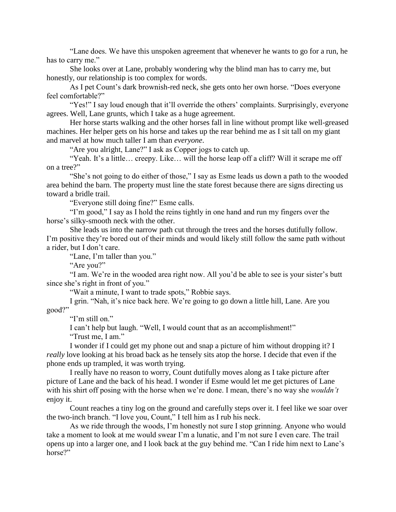"Lane does. We have this unspoken agreement that whenever he wants to go for a run, he has to carry me."

She looks over at Lane, probably wondering why the blind man has to carry me, but honestly, our relationship is too complex for words.

As I pet Count's dark brownish-red neck, she gets onto her own horse. "Does everyone feel comfortable?"

"Yes!" I say loud enough that it'll override the others' complaints. Surprisingly, everyone agrees. Well, Lane grunts, which I take as a huge agreement.

Her horse starts walking and the other horses fall in line without prompt like well-greased machines. Her helper gets on his horse and takes up the rear behind me as I sit tall on my giant and marvel at how much taller I am than *everyone*.

"Are you alright, Lane?" I ask as Copper jogs to catch up.

"Yeah. It's a little… creepy. Like… will the horse leap off a cliff? Will it scrape me off on a tree?"

"She's not going to do either of those," I say as Esme leads us down a path to the wooded area behind the barn. The property must line the state forest because there are signs directing us toward a bridle trail.

"Everyone still doing fine?" Esme calls.

"I'm good," I say as I hold the reins tightly in one hand and run my fingers over the horse's silky-smooth neck with the other.

She leads us into the narrow path cut through the trees and the horses dutifully follow. I'm positive they're bored out of their minds and would likely still follow the same path without a rider, but I don't care.

"Lane, I'm taller than you."

"Are you?"

"I am. We're in the wooded area right now. All you'd be able to see is your sister's butt since she's right in front of you."

"Wait a minute, I want to trade spots," Robbie says.

I grin. "Nah, it's nice back here. We're going to go down a little hill, Lane. Are you good?"

"I'm still on."

I can't help but laugh. "Well, I would count that as an accomplishment!"

"Trust me, I am."

I wonder if I could get my phone out and snap a picture of him without dropping it? I *really* love looking at his broad back as he tensely sits atop the horse. I decide that even if the phone ends up trampled, it was worth trying.

I really have no reason to worry, Count dutifully moves along as I take picture after picture of Lane and the back of his head. I wonder if Esme would let me get pictures of Lane with his shirt off posing with the horse when we're done. I mean, there's no way she *wouldn't* enjoy it.

Count reaches a tiny log on the ground and carefully steps over it. I feel like we soar over the two-inch branch. "I love you, Count," I tell him as I rub his neck.

As we ride through the woods, I'm honestly not sure I stop grinning. Anyone who would take a moment to look at me would swear I'm a lunatic, and I'm not sure I even care. The trail opens up into a larger one, and I look back at the guy behind me. "Can I ride him next to Lane's horse?"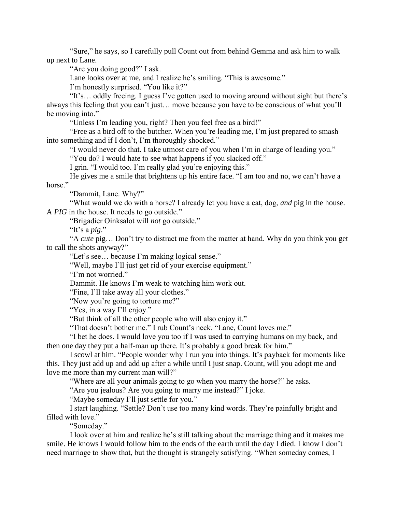"Sure," he says, so I carefully pull Count out from behind Gemma and ask him to walk up next to Lane.

"Are you doing good?" I ask.

Lane looks over at me, and I realize he's smiling. "This is awesome."

I'm honestly surprised. "You like it?"

"It's… oddly freeing. I guess I've gotten used to moving around without sight but there's always this feeling that you can't just… move because you have to be conscious of what you'll be moving into."

"Unless I'm leading you, right? Then you feel free as a bird!"

"Free as a bird off to the butcher. When you're leading me, I'm just prepared to smash into something and if I don't, I'm thoroughly shocked."

"I would never do that. I take utmost care of you when I'm in charge of leading you."

"You do? I would hate to see what happens if you slacked off."

I grin. "I would too. I'm really glad you're enjoying this."

He gives me a smile that brightens up his entire face. "I am too and no, we can't have a horse."

"Dammit, Lane. Why?"

"What would we do with a horse? I already let you have a cat, dog, *and* pig in the house. A *PIG* in the house. It needs to go outside."

"Brigadier Oinksalot will *not* go outside."

"It's a *pig*."

"A *cute* pig… Don't try to distract me from the matter at hand. Why do you think you get to call the shots anyway?"

"Let's see… because I'm making logical sense."

"Well, maybe I'll just get rid of your exercise equipment."

"I'm not worried."

Dammit. He knows I'm weak to watching him work out.

"Fine, I'll take away all your clothes."

"Now you're going to torture me?"

"Yes, in a way I'll enjoy."

"But think of all the other people who will also enjoy it."

"That doesn't bother me." I rub Count's neck. "Lane, Count loves me."

"I bet he does. I would love you too if I was used to carrying humans on my back, and then one day they put a half-man up there. It's probably a good break for him."

I scowl at him. "People wonder why I run you into things. It's payback for moments like this. They just add up and add up after a while until I just snap. Count, will you adopt me and love me more than my current man will?"

"Where are all your animals going to go when you marry the horse?" he asks.

"Are you jealous? Are you going to marry me instead?" I joke.

"Maybe someday I'll just settle for you."

I start laughing. "Settle? Don't use too many kind words. They're painfully bright and filled with love."

"Someday."

I look over at him and realize he's still talking about the marriage thing and it makes me smile. He knows I would follow him to the ends of the earth until the day I died. I know I don't need marriage to show that, but the thought is strangely satisfying. "When someday comes, I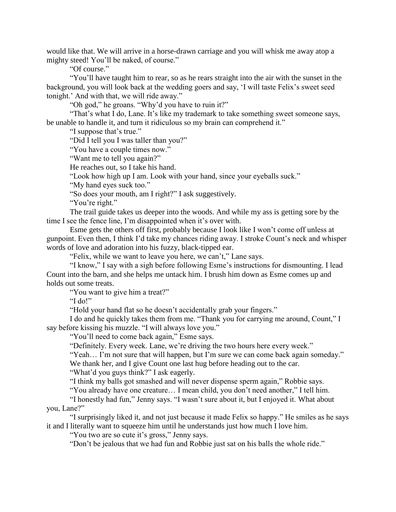would like that. We will arrive in a horse-drawn carriage and you will whisk me away atop a mighty steed! You'll be naked, of course."

"Of course."

"You'll have taught him to rear, so as he rears straight into the air with the sunset in the background, you will look back at the wedding goers and say, 'I will taste Felix's sweet seed tonight.' And with that, we will ride away."

"Oh god," he groans. "Why'd you have to ruin it?"

"That's what I do, Lane. It's like my trademark to take something sweet someone says, be unable to handle it, and turn it ridiculous so my brain can comprehend it."

"I suppose that's true."

"Did I tell you I was taller than you?"

"You have a couple times now."

"Want me to tell you again?"

He reaches out, so I take his hand.

"Look how high up I am. Look with your hand, since your eyeballs suck."

"My hand eyes suck too."

"So does your mouth, am I right?" I ask suggestively.

"You're right."

The trail guide takes us deeper into the woods. And while my ass is getting sore by the time I see the fence line, I'm disappointed when it's over with.

Esme gets the others off first, probably because I look like I won't come off unless at gunpoint. Even then, I think I'd take my chances riding away. I stroke Count's neck and whisper words of love and adoration into his fuzzy, black-tipped ear.

"Felix, while we want to leave you here, we can't," Lane says.

"I know," I say with a sigh before following Esme's instructions for dismounting. I lead Count into the barn, and she helps me untack him. I brush him down as Esme comes up and holds out some treats.

"You want to give him a treat?"

"I do!"

"Hold your hand flat so he doesn't accidentally grab your fingers."

I do and he quickly takes them from me. "Thank you for carrying me around, Count," I say before kissing his muzzle. "I will always love you."

"You'll need to come back again," Esme says.

"Definitely. Every week. Lane, we're driving the two hours here every week."

"Yeah… I'm not sure that will happen, but I'm sure we can come back again someday." We thank her, and I give Count one last hug before heading out to the car.

"What'd you guys think?" I ask eagerly.

"I think my balls got smashed and will never dispense sperm again," Robbie says.

"You already have one creature… I mean child, you don't need another," I tell him.

"I honestly had fun," Jenny says. "I wasn't sure about it, but I enjoyed it. What about you, Lane?"

"I surprisingly liked it, and not just because it made Felix so happy." He smiles as he says it and I literally want to squeeze him until he understands just how much I love him.

"You two are so cute it's gross," Jenny says.

"Don't be jealous that we had fun and Robbie just sat on his balls the whole ride."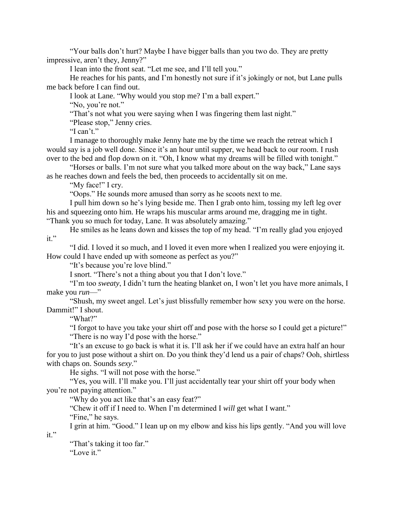"Your balls don't hurt? Maybe I have bigger balls than you two do. They are pretty impressive, aren't they, Jenny?"

I lean into the front seat. "Let me see, and I'll tell you."

He reaches for his pants, and I'm honestly not sure if it's jokingly or not, but Lane pulls me back before I can find out.

I look at Lane. "Why would you stop me? I'm a ball expert."

"No, you're not."

"That's not what you were saying when I was fingering them last night."

"Please stop," Jenny cries.

"I can't."

I manage to thoroughly make Jenny hate me by the time we reach the retreat which I would say is a job well done. Since it's an hour until supper, we head back to our room. I rush over to the bed and flop down on it. "Oh, I know what my dreams will be filled with tonight."

"Horses or balls. I'm not sure what you talked more about on the way back," Lane says as he reaches down and feels the bed, then proceeds to accidentally sit on me.

"My face!" I cry.

"Oops." He sounds more amused than sorry as he scoots next to me.

I pull him down so he's lying beside me. Then I grab onto him, tossing my left leg over his and squeezing onto him. He wraps his muscular arms around me, dragging me in tight. "Thank you so much for today, Lane. It was absolutely amazing."

He smiles as he leans down and kisses the top of my head. "I'm really glad you enjoyed it."

"I did. I loved it so much, and I loved it even more when I realized you were enjoying it. How could I have ended up with someone as perfect as you?"

"It's because you're love blind."

I snort. "There's not a thing about you that I don't love."

"I'm too *sweaty*, I didn't turn the heating blanket on, I won't let you have more animals, I make you *run*—"

"Shush, my sweet angel. Let's just blissfully remember how sexy you were on the horse. Dammit!" I shout.

"What?"

"I forgot to have you take your shirt off and pose with the horse so I could get a picture!" "There is no way I'd pose with the horse."

"It's an excuse to go back is what it is. I'll ask her if we could have an extra half an hour for you to just pose without a shirt on. Do you think they'd lend us a pair of chaps? Ooh, shirtless with chaps on. Sounds *sexy*."

He sighs. "I will not pose with the horse."

"Yes, you will. I'll make you. I'll just accidentally tear your shirt off your body when you're not paying attention."

"Why do you act like that's an easy feat?"

"Chew it off if I need to. When I'm determined I *will* get what I want." "Fine," he says.

I grin at him. "Good." I lean up on my elbow and kiss his lips gently. "And you will love

it."

"That's taking it too far." "Love it."